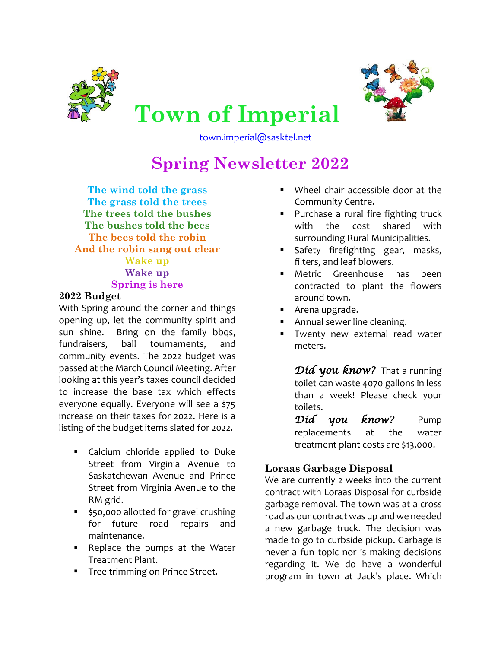



**Town of Imperial** [town.imperial@sasktel.net](mailto:town.imperial@sasktel.net)

# **Spring Newsletter 2022**

**The wind told the grass The grass told the trees The trees told the bushes The bushes told the bees The bees told the robin And the robin sang out clear Wake up Wake up Spring is here**

## **2022 Budget**

With Spring around the corner and things opening up, let the community spirit and sun shine. Bring on the family bbqs, fundraisers, ball tournaments, and community events. The 2022 budget was passed at the March Council Meeting. After looking at this year's taxes council decided to increase the base tax which effects everyone equally. Everyone will see a \$75 increase on their taxes for 2022. Here is a listing of the budget items slated for 2022.

- **EX Calcium chloride applied to Duke** Street from Virginia Avenue to Saskatchewan Avenue and Prince Street from Virginia Avenue to the RM grid.
- **550,000 allotted for gravel crushing** for future road repairs and maintenance.
- **Part Proplace the pumps at the Water** Treatment Plant.
- **Tree trimming on Prince Street.**
- Wheel chair accessible door at the Community Centre.
- Purchase a rural fire fighting truck with the cost shared with surrounding Rural Municipalities.
- Safety firefighting gear, masks, filters, and leaf blowers.
- Metric Greenhouse has been contracted to plant the flowers around town.
- Arena upgrade.
- Annual sewer line cleaning.
- Twenty new external read water meters.

*Did you know?* That a running toilet can waste 4070 gallons in less than a week! Please check your toilets.

*Did you know?* Pump replacements at the water treatment plant costs are \$13,000.

# **Loraas Garbage Disposal**

We are currently 2 weeks into the current contract with Loraas Disposal for curbside garbage removal. The town was at a cross road as our contract was up and we needed a new garbage truck. The decision was made to go to curbside pickup. Garbage is never a fun topic nor is making decisions regarding it. We do have a wonderful program in town at Jack's place. Which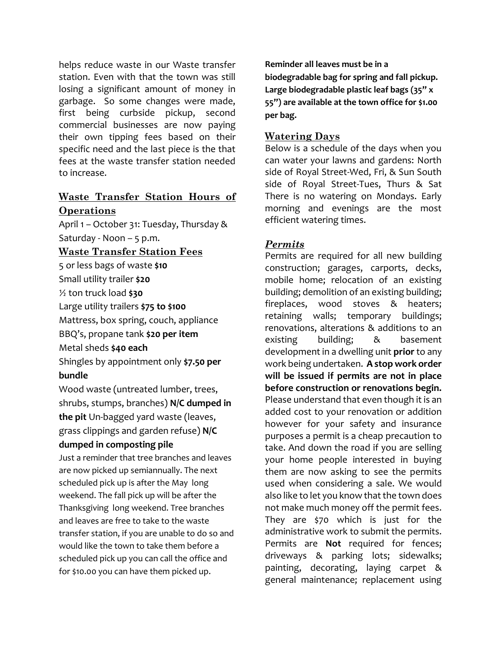helps reduce waste in our Waste transfer station. Even with that the town was still losing a significant amount of money in garbage. So some changes were made, first being curbside pickup, second commercial businesses are now paying their own tipping fees based on their specific need and the last piece is the that fees at the waste transfer station needed to increase.

# **Waste Transfer Station Hours of Operations**

April 1 – October 31: Tuesday, Thursday & Saturday - Noon – 5 p.m.

**Waste Transfer Station Fees**

5 or less bags of waste **\$10**

Small utility trailer **\$20**

½ ton truck load **\$30**

Large utility trailers **\$75 to \$100**

Mattress, box spring, couch, appliance

BBQ's, propane tank **\$20 per item**

Metal sheds **\$40 each**

Shingles by appointment only **\$7.50 per bundle**

Wood waste (untreated lumber, trees, shrubs, stumps, branches) **N/C dumped in the pit** Un-bagged yard waste (leaves, grass clippings and garden refuse) **N/C dumped in composting pile**

Just a reminder that tree branches and leaves are now picked up semiannually. The next scheduled pick up is after the May long weekend. The fall pick up will be after the Thanksgiving long weekend. Tree branches and leaves are free to take to the waste transfer station, if you are unable to do so and would like the town to take them before a scheduled pick up you can call the office and for \$10.00 you can have them picked up.

**Reminder all leaves must be in a biodegradable bag for spring and fall pickup. Large biodegradable plastic leaf bags (35" x 55") are available at the town office for \$1.00 per bag.**

## **Watering Days**

Below is a schedule of the days when you can water your lawns and gardens: North side of Royal Street-Wed, Fri, & Sun South side of Royal Street-Tues, Thurs & Sat There is no watering on Mondays. Early morning and evenings are the most efficient watering times.

## *Permits*

Permits are required for all new building construction; garages, carports, decks, mobile home; relocation of an existing building; demolition of an existing building; fireplaces, wood stoves & heaters; retaining walls; temporary buildings; renovations, alterations & additions to an existing building; & basement development in a dwelling unit **prior** to any work being undertaken. **A stop work order will be issued if permits are not in place before construction or renovations begin.** Please understand that even though it is an added cost to your renovation or addition however for your safety and insurance purposes a permit is a cheap precaution to take. And down the road if you are selling your home people interested in buying them are now asking to see the permits used when considering a sale. We would also like to let you know that the town does not make much money off the permit fees. They are \$70 which is just for the administrative work to submit the permits. Permits are **Not** required for fences; driveways & parking lots; sidewalks; painting, decorating, laying carpet & general maintenance; replacement using